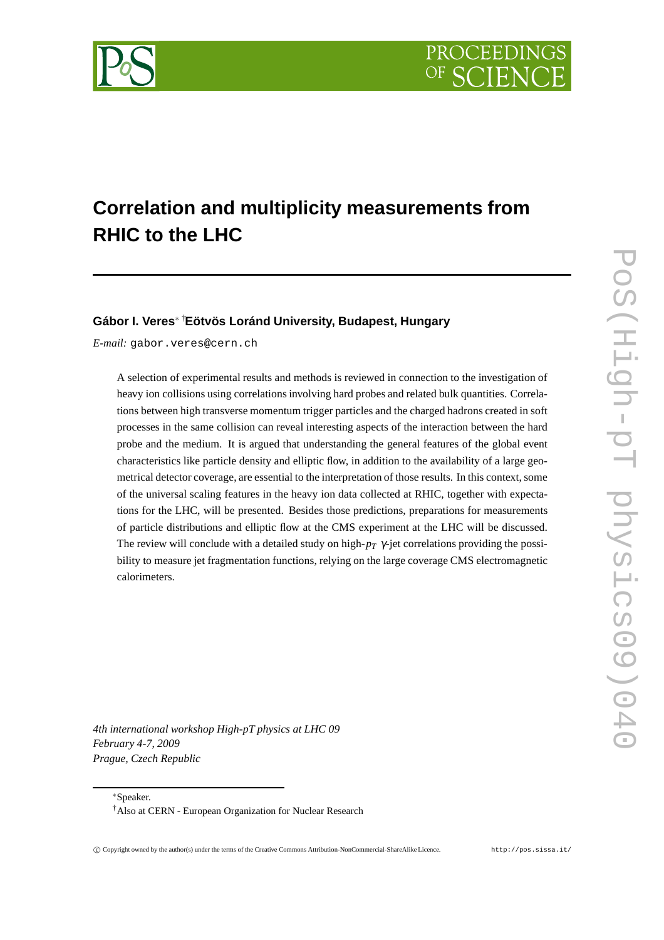

# **Correlation and multiplicity measurements from RHIC to the LHC**

## **Gábor I. Veres**<sup>∗</sup> †**Eötvös Loránd University, Budapest, Hungary**

*E-mail:* gabor.veres@cern.ch

A selection of experimental results and methods is reviewed in connection to the investigation of heavy ion collisions using correlations involving hard probes and related bulk quantities. Correlations between high transverse momentum trigger particles and the charged hadrons created in soft processes in the same collision can reveal interesting aspects of the interaction between the hard probe and the medium. It is argued that understanding the general features of the global event characteristics like particle density and elliptic flow, in addition to the availability of a large geometrical detector coverage, are essential to the interpretation of those results. In this context, some of the universal scaling features in the heavy ion data collected at RHIC, together with expectations for the LHC, will be presented. Besides those predictions, preparations for measurements of particle distributions and elliptic flow at the CMS experiment at the LHC will be discussed. The review will conclude with a detailed study on high-*p<sup>T</sup>* <sup>γ</sup>-jet correlations providing the possibility to measure jet fragmentation functions, relying on the large coverage CMS electromagnetic calorimeters.

*4th international workshop High-pT physics at LHC 09 February 4-7, 2009 Prague, Czech Republic*

∗Speaker.

<sup>†</sup>Also at CERN - European Organization for Nuclear Research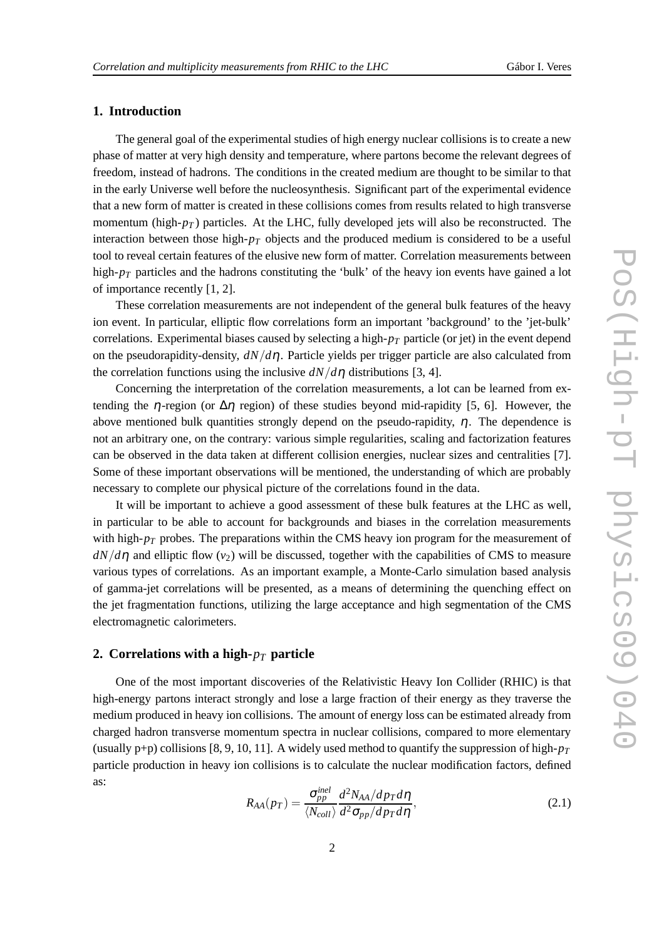# **1. Introduction**

The general goal of the experimental studies of high energy nuclear collisions is to create a new phase of matter at very high density and temperature, where partons become the relevant degrees of freedom, instead of hadrons. The conditions in the created medium are thought to be similar to that in the early Universe well before the nucleosynthesis. Significant part of the experimental evidence that a new form of matter is created in these collisions comes from results related to high transverse momentum (high-*p<sup>T</sup>* ) particles. At the LHC, fully developed jets will also be reconstructed. The interaction between those high- $p<sub>T</sub>$  objects and the produced medium is considered to be a useful tool to reveal certain features of the elusive new form of matter. Correlation measurements between high- $p_T$  particles and the hadrons constituting the 'bulk' of the heavy ion events have gained a lot of importance recently [1, 2].

These correlation measurements are not independent of the general bulk features of the heavy ion event. In particular, elliptic flow correlations form an important 'background' to the 'jet-bulk' correlations. Experimental biases caused by selecting a high-*p<sup>T</sup>* particle (or jet) in the event depend on the pseudorapidity-density, *dN*/*d*η. Particle yields per trigger particle are also calculated from the correlation functions using the inclusive  $dN/d\eta$  distributions [3, 4].

Concerning the interpretation of the correlation measurements, a lot can be learned from extending the  $\eta$ -region (or  $\Delta \eta$  region) of these studies beyond mid-rapidity [5, 6]. However, the above mentioned bulk quantities strongly depend on the pseudo-rapidity,  $\eta$ . The dependence is not an arbitrary one, on the contrary: various simple regularities, scaling and factorization features can be observed in the data taken at different collision energies, nuclear sizes and centralities [7]. Some of these important observations will be mentioned, the understanding of which are probably necessary to complete our physical picture of the correlations found in the data.

It will be important to achieve a good assessment of these bulk features at the LHC as well, in particular to be able to account for backgrounds and biases in the correlation measurements with high- $p_T$  probes. The preparations within the CMS heavy ion program for the measurement of  $dN/d\eta$  and elliptic flow ( $v_2$ ) will be discussed, together with the capabilities of CMS to measure various types of correlations. As an important example, a Monte-Carlo simulation based analysis of gamma-jet correlations will be presented, as a means of determining the quenching effect on the jet fragmentation functions, utilizing the large acceptance and high segmentation of the CMS electromagnetic calorimeters.

### **2. Correlations with a high-***p<sup>T</sup>* **particle**

One of the most important discoveries of the Relativistic Heavy Ion Collider (RHIC) is that high-energy partons interact strongly and lose a large fraction of their energy as they traverse the medium produced in heavy ion collisions. The amount of energy loss can be estimated already from charged hadron transverse momentum spectra in nuclear collisions, compared to more elementary (usually  $p+p$ ) collisions [8, 9, 10, 11]. A widely used method to quantify the suppression of high- $p_T$ particle production in heavy ion collisions is to calculate the nuclear modification factors, defined as:

$$
R_{AA}(p_T) = \frac{\sigma_{pp}^{inel}}{\langle N_{coll} \rangle} \frac{d^2 N_{AA} / dp_T d\eta}{d^2 \sigma_{pp} / dp_T d\eta},
$$
\n(2.1)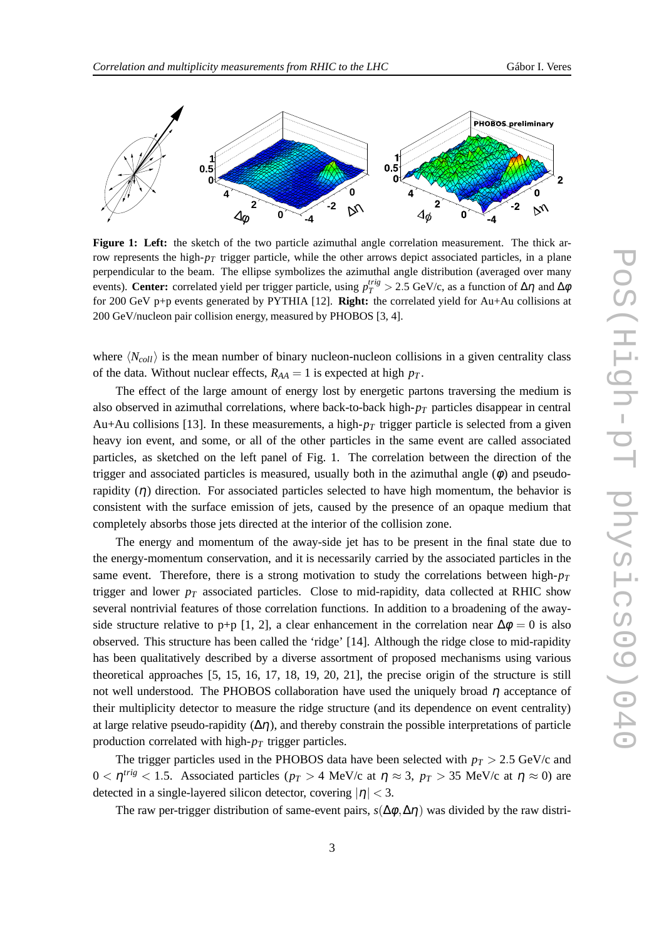

**Figure 1: Left:** the sketch of the two particle azimuthal angle correlation measurement. The thick arrow represents the high- $p<sub>T</sub>$  trigger particle, while the other arrows depict associated particles, in a plane perpendicular to the beam. The ellipse symbolizes the azimuthal angle distribution (averaged over many events). **Center:** correlated yield per trigger particle, using  $p_T^{trig} > 2.5$  GeV/c, as a function of Δη and Δφ for 200 GeV p+p events generated by PYTHIA [12]. **Right:** the correlated yield for Au+Au collisions at 200 GeV/nucleon pair collision energy, measured by PHOBOS [3, 4].

where  $\langle N_{coll} \rangle$  is the mean number of binary nucleon-nucleon collisions in a given centrality class of the data. Without nuclear effects,  $R_{AA} = 1$  is expected at high  $p_T$ .

The effect of the large amount of energy lost by energetic partons traversing the medium is also observed in azimuthal correlations, where back-to-back high-*p<sup>T</sup>* particles disappear in central Au+Au collisions [13]. In these measurements, a high- $p<sub>T</sub>$  trigger particle is selected from a given heavy ion event, and some, or all of the other particles in the same event are called associated particles, as sketched on the left panel of Fig. 1. The correlation between the direction of the trigger and associated particles is measured, usually both in the azimuthal angle  $(\phi)$  and pseudorapidity  $(\eta)$  direction. For associated particles selected to have high momentum, the behavior is consistent with the surface emission of jets, caused by the presence of an opaque medium that completely absorbs those jets directed at the interior of the collision zone.

The energy and momentum of the away-side jet has to be present in the final state due to the energy-momentum conservation, and it is necessarily carried by the associated particles in the same event. Therefore, there is a strong motivation to study the correlations between high-*p<sup>T</sup>* trigger and lower  $p_T$  associated particles. Close to mid-rapidity, data collected at RHIC show several nontrivial features of those correlation functions. In addition to a broadening of the awayside structure relative to p+p [1, 2], a clear enhancement in the correlation near  $\Delta \phi = 0$  is also observed. This structure has been called the 'ridge' [14]. Although the ridge close to mid-rapidity has been qualitatively described by a diverse assortment of proposed mechanisms using various theoretical approaches [5, 15, 16, 17, 18, 19, 20, 21], the precise origin of the structure is still not well understood. The PHOBOS collaboration have used the uniquely broad  $\eta$  acceptance of their multiplicity detector to measure the ridge structure (and its dependence on event centrality) at large relative pseudo-rapidity  $(\Delta \eta)$ , and thereby constrain the possible interpretations of particle production correlated with high-*p<sup>T</sup>* trigger particles.

The trigger particles used in the PHOBOS data have been selected with  $p_T > 2.5$  GeV/c and  $0 < η$ <sup>trig</sup> < 1.5. Associated particles (*p*<sub>*T*</sub> > 4 MeV/c at  $η ≈ 3$ , *p*<sub>*T*</sub> > 35 MeV/c at  $η ≈ 0$ ) are detected in a single-layered silicon detector, covering  $|\eta| < 3$ .

The raw per-trigger distribution of same-event pairs,  $s(\Delta\phi, \Delta\eta)$  was divided by the raw distri-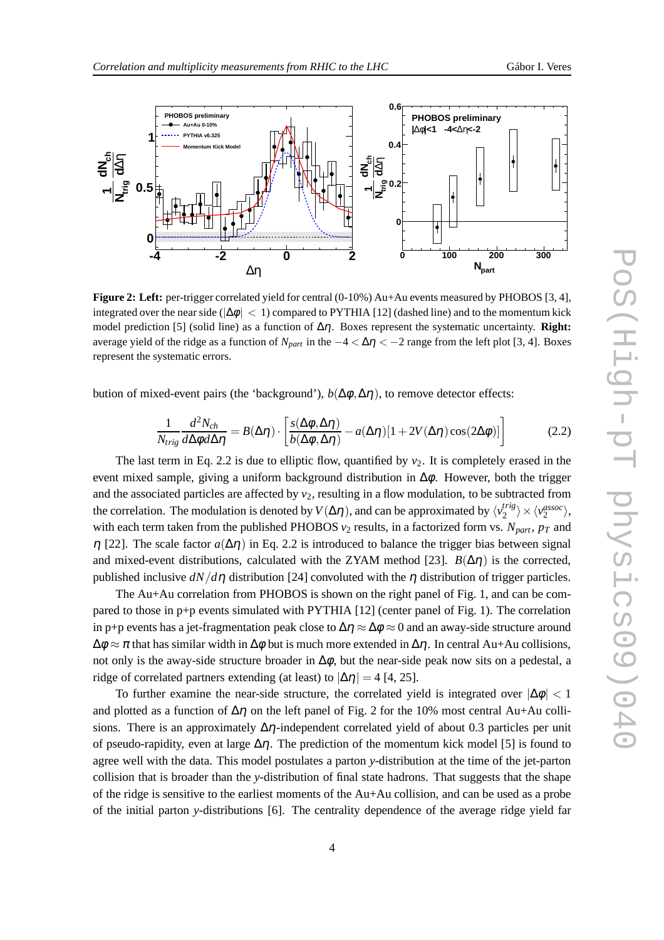

**Figure 2: Left:** per-trigger correlated yield for central (0-10%) Au+Au events measured by PHOBOS [3, 4], integrated over the near side ( $|\Delta\phi| < 1$ ) compared to PYTHIA [12] (dashed line) and to the momentum kick model prediction [5] (solid line) as a function of ∆η. Boxes represent the systematic uncertainty. **Right:** average yield of the ridge as a function of  $N_{part}$  in the  $-4 < \Delta \eta < -2$  range from the left plot [3, 4]. Boxes represent the systematic errors.

bution of mixed-event pairs (the 'background'),  $b(\Delta \phi, \Delta \eta)$ , to remove detector effects:

$$
\frac{1}{N_{trig}} \frac{d^2 N_{ch}}{d \Delta \phi d \Delta \eta} = B(\Delta \eta) \cdot \left[ \frac{s(\Delta \phi, \Delta \eta)}{b(\Delta \phi, \Delta \eta)} - a(\Delta \eta) [1 + 2V(\Delta \eta) \cos(2\Delta \phi)] \right]
$$
(2.2)

The last term in Eq. 2.2 is due to elliptic flow, quantified by  $v_2$ . It is completely erased in the event mixed sample, giving a uniform background distribution in  $\Delta \phi$ . However, both the trigger and the associated particles are affected by  $v_2$ , resulting in a flow modulation, to be subtracted from the correlation. The modulation is denoted by  $V(\Delta \eta)$ , and can be approximated by  $\langle v_2^{trig} \rangle$  $\langle v_2^{assoc} \rangle \times \langle v_2^{assoc} \rangle$ with each term taken from the published PHOBOS  $v_2$  results, in a factorized form vs.  $N_{part}$ ,  $p_T$  and <sup>η</sup> [22]. The scale factor *a*(∆η) in Eq. 2.2 is introduced to balance the trigger bias between signal and mixed-event distributions, calculated with the ZYAM method [23].  $B(\Delta \eta)$  is the corrected, published inclusive  $dN/d\eta$  distribution [24] convoluted with the  $\eta$  distribution of trigger particles.

The Au+Au correlation from PHOBOS is shown on the right panel of Fig. 1, and can be compared to those in p+p events simulated with PYTHIA [12] (center panel of Fig. 1). The correlation in p+p events has a jet-fragmentation peak close to  $\Delta \eta \approx \Delta \phi \approx 0$  and an away-side structure around  $\Delta\phi \approx \pi$  that has similar width in  $\Delta\phi$  but is much more extended in  $\Delta\eta$ . In central Au+Au collisions, not only is the away-side structure broader in  $\Delta \phi$ , but the near-side peak now sits on a pedestal, a ridge of correlated partners extending (at least) to  $|\Delta \eta| = 4$  [4, 25].

To further examine the near-side structure, the correlated yield is integrated over  $|\Delta\phi| < 1$ and plotted as a function of  $\Delta \eta$  on the left panel of Fig. 2 for the 10% most central Au+Au collisions. There is an approximately  $\Delta \eta$ -independent correlated yield of about 0.3 particles per unit of pseudo-rapidity, even at large  $\Delta \eta$ . The prediction of the momentum kick model [5] is found to agree well with the data. This model postulates a parton *y*-distribution at the time of the jet-parton collision that is broader than the *y*-distribution of final state hadrons. That suggests that the shape of the ridge is sensitive to the earliest moments of the Au+Au collision, and can be used as a probe of the initial parton *y*-distributions [6]. The centrality dependence of the average ridge yield far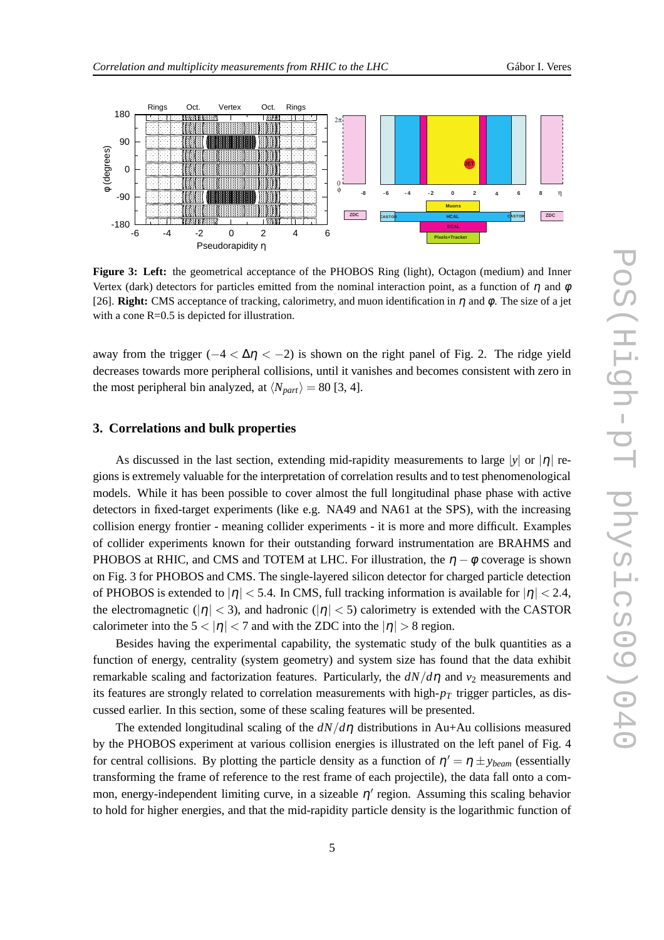

**Figure 3: Left:** the geometrical acceptance of the PHOBOS Ring (light), Octagon (medium) and Inner Vertex (dark) detectors for particles emitted from the nominal interaction point, as a function of  $\eta$  and  $\phi$ [26]. **Right:** CMS acceptance of tracking, calorimetry, and muon identification in  $\eta$  and  $\phi$ . The size of a jet with a cone R=0.5 is depicted for illustration.

away from the trigger  $(-4 < \Delta \eta < -2)$  is shown on the right panel of Fig. 2. The ridge yield decreases towards more peripheral collisions, until it vanishes and becomes consistent with zero in the most peripheral bin analyzed, at  $\langle N_{part} \rangle = 80$  [3, 4].

#### **3. Correlations and bulk properties**

As discussed in the last section, extending mid-rapidity measurements to large  $|y|$  or  $|\eta|$  regions is extremely valuable for the interpretation of correlation results and to test phenomenological models. While it has been possible to cover almost the full longitudinal phase phase with active detectors in fixed-target experiments (like e.g. NA49 and NA61 at the SPS), with the increasing collision energy frontier - meaning collider experiments - it is more and more difficult. Examples of collider experiments known for their outstanding forward instrumentation are BRAHMS and PHOBOS at RHIC, and CMS and TOTEM at LHC. For illustration, the  $\eta - \phi$  coverage is shown on Fig. 3 for PHOBOS and CMS. The single-layered silicon detector for charged particle detection of PHOBOS is extended to  $|\eta| < 5.4$ . In CMS, full tracking information is available for  $|\eta| < 2.4$ , the electromagnetic ( $|\eta| < 3$ ), and hadronic ( $|\eta| < 5$ ) calorimetry is extended with the CASTOR calorimeter into the  $5 < |\eta| < 7$  and with the ZDC into the  $|\eta| > 8$  region.

Besides having the experimental capability, the systematic study of the bulk quantities as a function of energy, centrality (system geometry) and system size has found that the data exhibit remarkable scaling and factorization features. Particularly, the  $dN/d\eta$  and  $v_2$  measurements and its features are strongly related to correlation measurements with high-*p<sup>T</sup>* trigger particles, as discussed earlier. In this section, some of these scaling features will be presented.

The extended longitudinal scaling of the *dN*/*d*<sup>η</sup> distributions in Au+Au collisions measured by the PHOBOS experiment at various collision energies is illustrated on the left panel of Fig. 4 for central collisions. By plotting the particle density as a function of  $\eta' = \eta \pm y_{beam}$  (essentially transforming the frame of reference to the rest frame of each projectile), the data fall onto a common, energy-independent limiting curve, in a sizeable  $\eta'$  region. Assuming this scaling behavior to hold for higher energies, and that the mid-rapidity particle density is the logarithmic function of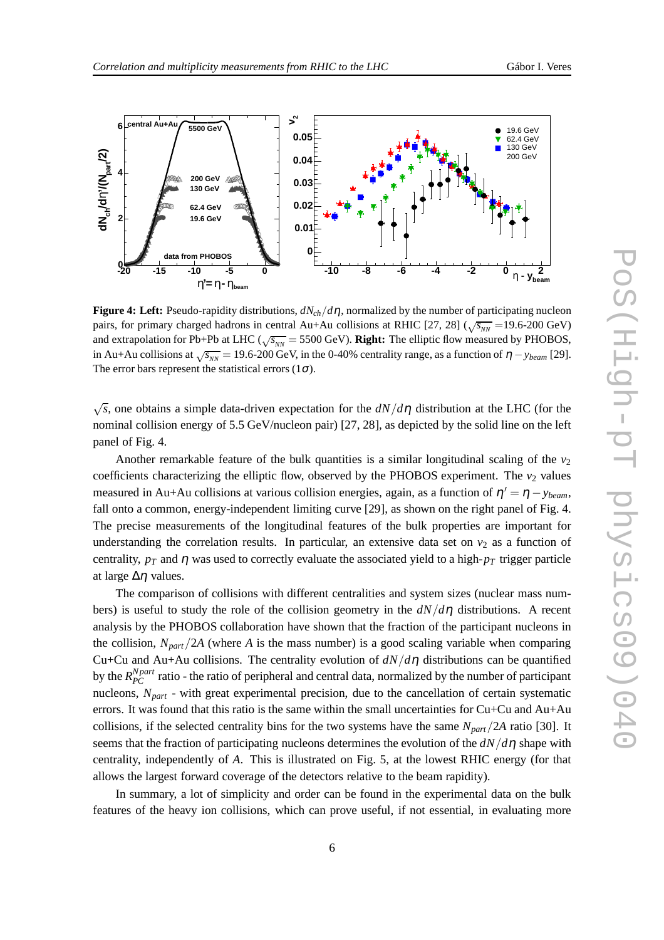

**Figure 4: Left:** Pseudo-rapidity distributions, *dNch*/*d*η, normalized by the number of participating nucleon pairs, for primary charged hadrons in central Au+Au collisions at RHIC [27, 28] ( $\sqrt{s_{NN}}$  =19.6-200 GeV) and extrapolation for Pb+Pb at LHC ( $\sqrt{s_{NN}}$  = 5500 GeV). **Right:** The elliptic flow measured by PHOBOS, in Au+Au collisions at  $\sqrt{s_{NN}}$  = 19.6-200 GeV, in the 0-40% centrality range, as a function of  $\eta$  – *y*<sub>beam</sub> [29]. The error bars represent the statistical errors  $(1\sigma)$ .

 $\sqrt{s}$ , one obtains a simple data-driven expectation for the  $dN/d\eta$  distribution at the LHC (for the nominal collision energy of 5.5 GeV/nucleon pair) [27, 28], as depicted by the solid line on the left panel of Fig. 4.

Another remarkable feature of the bulk quantities is a similar longitudinal scaling of the  $v_2$ coefficients characterizing the elliptic flow, observed by the PHOBOS experiment. The  $v_2$  values measured in Au+Au collisions at various collision energies, again, as a function of  $\eta' = \eta - y_{beam}$ , fall onto a common, energy-independent limiting curve [29], as shown on the right panel of Fig. 4. The precise measurements of the longitudinal features of the bulk properties are important for understanding the correlation results. In particular, an extensive data set on  $v_2$  as a function of centrality,  $p_T$  and  $\eta$  was used to correctly evaluate the associated yield to a high- $p_T$  trigger particle at large  $\Delta\eta$  values.

The comparison of collisions with different centralities and system sizes (nuclear mass numbers) is useful to study the role of the collision geometry in the *dN*/*d*<sup>η</sup> distributions. A recent analysis by the PHOBOS collaboration have shown that the fraction of the participant nucleons in the collision,  $N_{part}/2A$  (where *A* is the mass number) is a good scaling variable when comparing Cu+Cu and Au+Au collisions. The centrality evolution of  $dN/d\eta$  distributions can be quantified by the  $R_{PC}^{Npart}$  ratio - the ratio of peripheral and central data, normalized by the number of participant nucleons, *Npart* - with great experimental precision, due to the cancellation of certain systematic errors. It was found that this ratio is the same within the small uncertainties for Cu+Cu and Au+Au collisions, if the selected centrality bins for the two systems have the same *Npart*/2*A* ratio [30]. It seems that the fraction of participating nucleons determines the evolution of the  $dN/d\eta$  shape with centrality, independently of *A*. This is illustrated on Fig. 5, at the lowest RHIC energy (for that allows the largest forward coverage of the detectors relative to the beam rapidity).

In summary, a lot of simplicity and order can be found in the experimental data on the bulk features of the heavy ion collisions, which can prove useful, if not essential, in evaluating more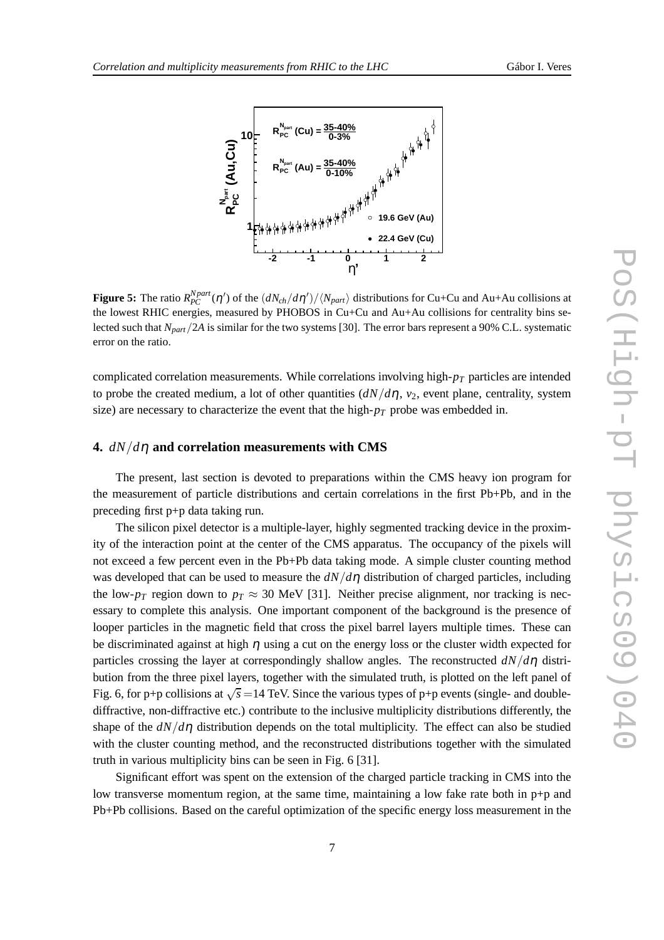

**Figure 5:** The ratio  $R_{PC}^{Npart}(\eta')$  of the  $(dN_{ch}/d\eta')/\langle N_{part} \rangle$  distributions for Cu+Cu and Au+Au collisions at the lowest RHIC energies, measured by PHOBOS in Cu+Cu and Au+Au collisions for centrality bins selected such that *Npart*/2*A* is similar for the two systems [30]. The error bars represent a 90% C.L. systematic error on the ratio.

complicated correlation measurements. While correlations involving high-*p<sup>T</sup>* particles are intended to probe the created medium, a lot of other quantities  $\left(\frac{dN}{d\eta}, v_2\right)$ , event plane, centrality, system size) are necessary to characterize the event that the high- $p<sub>T</sub>$  probe was embedded in.

#### **4.** *dN*/*d*<sup>η</sup> **and correlation measurements with CMS**

The present, last section is devoted to preparations within the CMS heavy ion program for the measurement of particle distributions and certain correlations in the first Pb+Pb, and in the preceding first p+p data taking run.

The silicon pixel detector is a multiple-layer, highly segmented tracking device in the proximity of the interaction point at the center of the CMS apparatus. The occupancy of the pixels will not exceed a few percent even in the Pb+Pb data taking mode. A simple cluster counting method was developed that can be used to measure the *dN*/*d*<sup>η</sup> distribution of charged particles, including the low- $p_T$  region down to  $p_T \approx 30$  MeV [31]. Neither precise alignment, nor tracking is necessary to complete this analysis. One important component of the background is the presence of looper particles in the magnetic field that cross the pixel barrel layers multiple times. These can be discriminated against at high  $\eta$  using a cut on the energy loss or the cluster width expected for particles crossing the layer at correspondingly shallow angles. The reconstructed *dN*/*d*<sup>η</sup> distribution from the three pixel layers, together with the simulated truth, is plotted on the left panel of Fig. 6, for p+p collisions at  $\sqrt{s}$  =14 TeV. Since the various types of p+p events (single- and doublediffractive, non-diffractive etc.) contribute to the inclusive multiplicity distributions differently, the shape of the  $dN/d\eta$  distribution depends on the total multiplicity. The effect can also be studied with the cluster counting method, and the reconstructed distributions together with the simulated truth in various multiplicity bins can be seen in Fig. 6 [31].

Significant effort was spent on the extension of the charged particle tracking in CMS into the low transverse momentum region, at the same time, maintaining a low fake rate both in p+p and Pb+Pb collisions. Based on the careful optimization of the specific energy loss measurement in the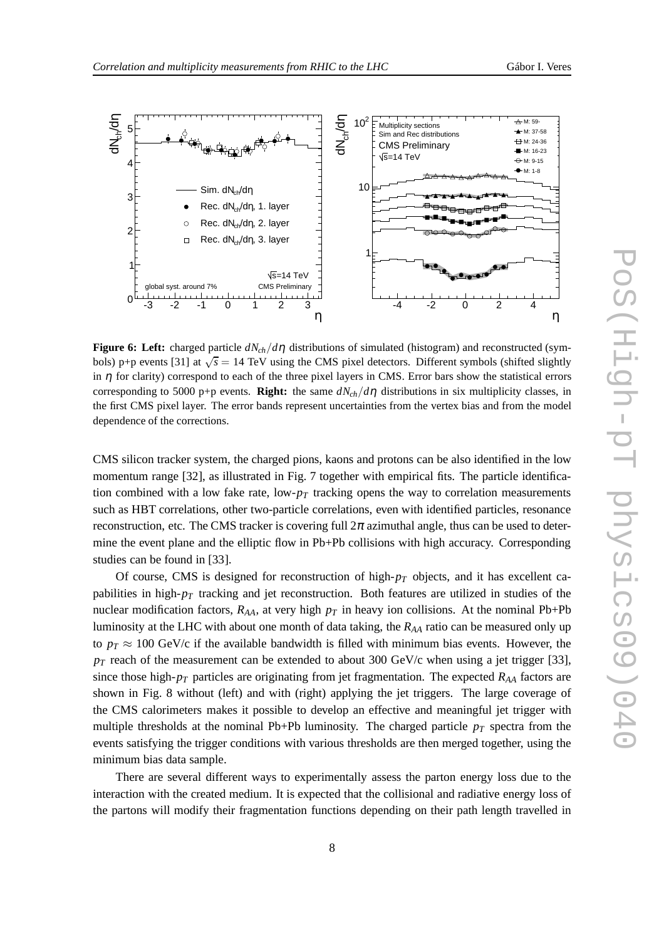



**Figure 6: Left:** charged particle  $dN_{ch}/d\eta$  distributions of simulated (histogram) and reconstructed (symbols) p+p events [31] at  $\sqrt{s}$  = 14 TeV using the CMS pixel detectors. Different symbols (shifted slightly in  $\eta$  for clarity) correspond to each of the three pixel layers in CMS. Error bars show the statistical errors corresponding to 5000 p+p events. **Right:** the same  $dN_{ch}/d\eta$  distributions in six multiplicity classes, in the first CMS pixel layer. The error bands represent uncertainties from the vertex bias and from the model dependence of the corrections.

CMS silicon tracker system, the charged pions, kaons and protons can be also identified in the low momentum range [32], as illustrated in Fig. 7 together with empirical fits. The particle identification combined with a low fake rate,  $low\text{-}p<sub>T</sub>$  tracking opens the way to correlation measurements such as HBT correlations, other two-particle correlations, even with identified particles, resonance reconstruction, etc. The CMS tracker is covering full  $2\pi$  azimuthal angle, thus can be used to determine the event plane and the elliptic flow in Pb+Pb collisions with high accuracy. Corresponding studies can be found in [33].

Of course, CMS is designed for reconstruction of high-*p<sup>T</sup>* objects, and it has excellent capabilities in high-*p<sup>T</sup>* tracking and jet reconstruction. Both features are utilized in studies of the nuclear modification factors,  $R_{AA}$ , at very high  $p_T$  in heavy ion collisions. At the nominal Pb+Pb luminosity at the LHC with about one month of data taking, the *RAA* ratio can be measured only up to  $p_T \approx 100$  GeV/c if the available bandwidth is filled with minimum bias events. However, the  $p_T$  reach of the measurement can be extended to about 300 GeV/c when using a jet trigger [33], since those high- $p_T$  particles are originating from jet fragmentation. The expected  $R_{AA}$  factors are shown in Fig. 8 without (left) and with (right) applying the jet triggers. The large coverage of the CMS calorimeters makes it possible to develop an effective and meaningful jet trigger with multiple thresholds at the nominal Pb+Pb luminosity. The charged particle  $p_T$  spectra from the events satisfying the trigger conditions with various thresholds are then merged together, using the minimum bias data sample.

There are several different ways to experimentally assess the parton energy loss due to the interaction with the created medium. It is expected that the collisional and radiative energy loss of the partons will modify their fragmentation functions depending on their path length travelled in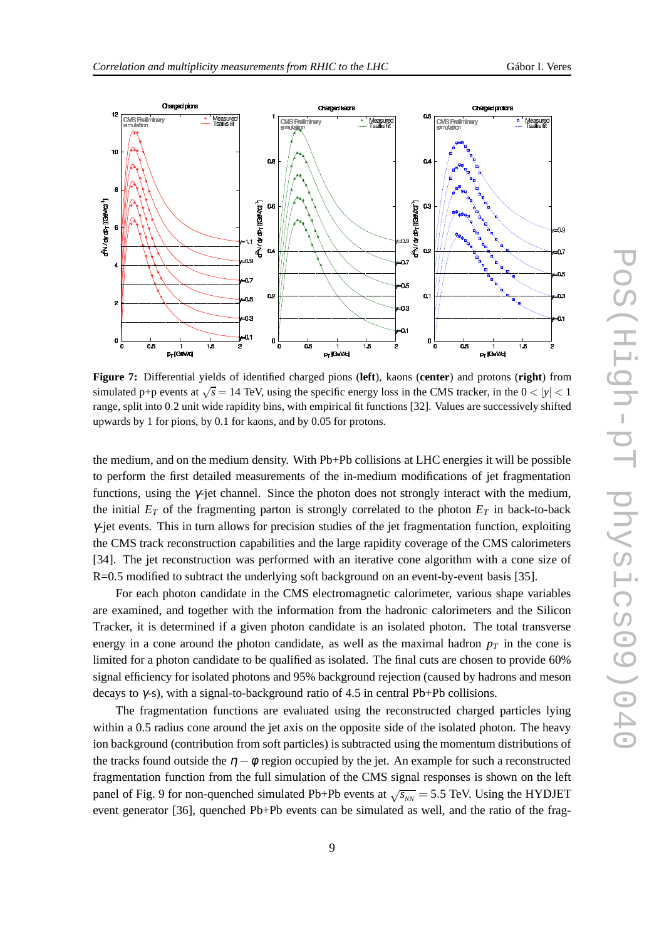

**Figure 7:** Differential yields of identified charged pions (**left**), kaons (**center**) and protons (**right**) from simulated p+p events at  $\sqrt{s}$  = 14 TeV, using the specific energy loss in the CMS tracker, in the  $0 < |y| < 1$ range, split into 0.2 unit wide rapidity bins, with empirical fit functions [32]. Values are successively shifted upwards by 1 for pions, by 0.1 for kaons, and by 0.05 for protons.

the medium, and on the medium density. With Pb+Pb collisions at LHC energies it will be possible to perform the first detailed measurements of the in-medium modifications of jet fragmentation functions, using the γ-jet channel. Since the photon does not strongly interact with the medium, the initial  $E_T$  of the fragmenting parton is strongly correlated to the photon  $E_T$  in back-to-back  $\gamma$ -jet events. This in turn allows for precision studies of the jet fragmentation function, exploiting the CMS track reconstruction capabilities and the large rapidity coverage of the CMS calorimeters [34]. The jet reconstruction was performed with an iterative cone algorithm with a cone size of R=0.5 modified to subtract the underlying soft background on an event-by-event basis [35].

For each photon candidate in the CMS electromagnetic calorimeter, various shape variables are examined, and together with the information from the hadronic calorimeters and the Silicon Tracker, it is determined if a given photon candidate is an isolated photon. The total transverse energy in a cone around the photon candidate, as well as the maximal hadron  $p<sub>T</sub>$  in the cone is limited for a photon candidate to be qualified as isolated. The final cuts are chosen to provide 60% signal efficiency for isolated photons and 95% background rejection (caused by hadrons and meson decays to  $\gamma$ -s), with a signal-to-background ratio of 4.5 in central Pb+Pb collisions.

The fragmentation functions are evaluated using the reconstructed charged particles lying within a 0.5 radius cone around the jet axis on the opposite side of the isolated photon. The heavy ion background (contribution from soft particles) is subtracted using the momentum distributions of the tracks found outside the  $\eta - \phi$  region occupied by the jet. An example for such a reconstructed fragmentation function from the full simulation of the CMS signal responses is shown on the left panel of Fig. 9 for non-quenched simulated Pb+Pb events at  $\sqrt{s_{NN}}$  = 5.5 TeV. Using the HYDJET event generator [36], quenched Pb+Pb events can be simulated as well, and the ratio of the frag-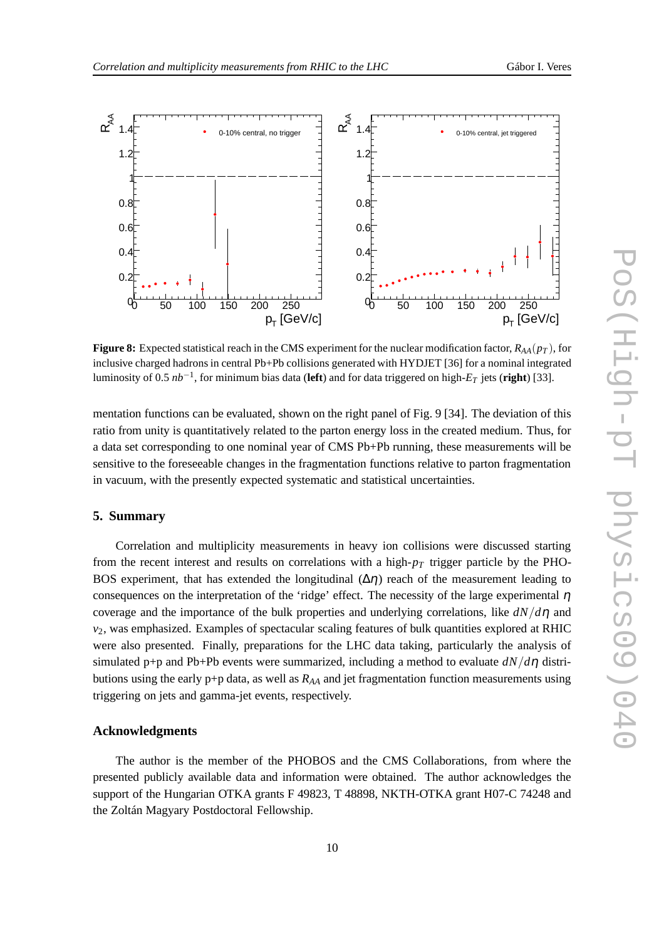

**Figure 8:** Expected statistical reach in the CMS experiment for the nuclear modification factor,  $R_{AA}(p_T)$ , for inclusive charged hadrons in central Pb+Pb collisions generated with HYDJET [36] for a nominal integrated luminosity of 0.5 *nb*−<sup>1</sup> , for minimum bias data (**left**) and for data triggered on high-*E<sup>T</sup>* jets (**right**) [33].

mentation functions can be evaluated, shown on the right panel of Fig. 9 [34]. The deviation of this ratio from unity is quantitatively related to the parton energy loss in the created medium. Thus, for a data set corresponding to one nominal year of CMS Pb+Pb running, these measurements will be sensitive to the foreseeable changes in the fragmentation functions relative to parton fragmentation in vacuum, with the presently expected systematic and statistical uncertainties.

# **5. Summary**

Correlation and multiplicity measurements in heavy ion collisions were discussed starting from the recent interest and results on correlations with a high-*p<sup>T</sup>* trigger particle by the PHO-BOS experiment, that has extended the longitudinal  $(\Delta \eta)$  reach of the measurement leading to consequences on the interpretation of the 'ridge' effect. The necessity of the large experimental  $\eta$ coverage and the importance of the bulk properties and underlying correlations, like *dN*/*d*<sup>η</sup> and *v*2, was emphasized. Examples of spectacular scaling features of bulk quantities explored at RHIC were also presented. Finally, preparations for the LHC data taking, particularly the analysis of simulated p+p and Pb+Pb events were summarized, including a method to evaluate  $dN/d\eta$  distributions using the early  $p+p$  data, as well as  $R_{AA}$  and jet fragmentation function measurements using triggering on jets and gamma-jet events, respectively.

### **Acknowledgments**

The author is the member of the PHOBOS and the CMS Collaborations, from where the presented publicly available data and information were obtained. The author acknowledges the support of the Hungarian OTKA grants F 49823, T 48898, NKTH-OTKA grant H07-C 74248 and the Zoltán Magyary Postdoctoral Fellowship.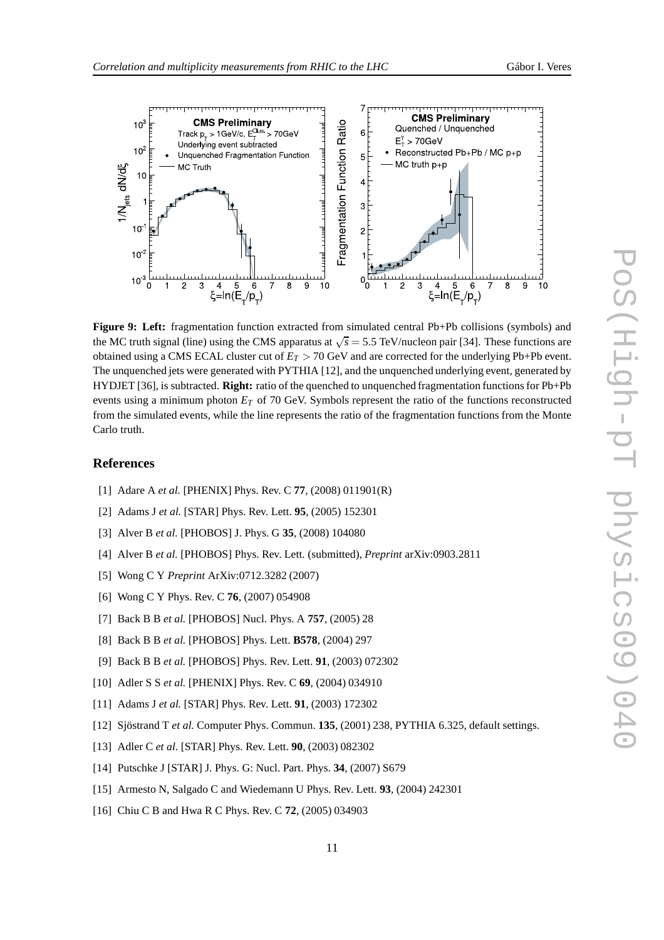



**Figure 9: Left:** fragmentation function extracted from simulated central Pb+Pb collisions (symbols) and the MC truth signal (line) using the CMS apparatus at  $\sqrt{s} = 5.5$  TeV/nucleon pair [34]. These functions are obtained using a CMS ECAL cluster cut of *E<sup>T</sup>* > 70 GeV and are corrected for the underlying Pb+Pb event. The unquenched jets were generated with PYTHIA [12], and the unquenched underlying event, generated by HYDJET [36], is subtracted. **Right:** ratio of the quenched to unquenched fragmentation functions for Pb+Pb events using a minimum photon *E<sup>T</sup>* of 70 GeV. Symbols represent the ratio of the functions reconstructed from the simulated events, while the line represents the ratio of the fragmentation functions from the Monte Carlo truth.

#### **References**

- [1] Adare A *et al.* [PHENIX] Phys. Rev. C **77**, (2008) 011901(R)
- [2] Adams J *et al.* [STAR] Phys. Rev. Lett. **95**, (2005) 152301
- [3] Alver B *et al.* [PHOBOS] J. Phys. G **35**, (2008) 104080
- [4] Alver B *et al.* [PHOBOS] Phys. Rev. Lett. (submitted), *Preprint* arXiv:0903.2811
- [5] Wong C Y *Preprint* ArXiv:0712.3282 (2007)
- [6] Wong C Y Phys. Rev. C **76**, (2007) 054908
- [7] Back B B *et al.* [PHOBOS] Nucl. Phys. A **757**, (2005) 28
- [8] Back B B *et al.* [PHOBOS] Phys. Lett. **B578**, (2004) 297
- [9] Back B B *et al.* [PHOBOS] Phys. Rev. Lett. **91**, (2003) 072302
- [10] Adler S S *et al.* [PHENIX] Phys. Rev. C **69**, (2004) 034910
- [11] Adams J *et al.* [STAR] Phys. Rev. Lett. **91**, (2003) 172302
- [12] Sjöstrand T *et al.* Computer Phys. Commun. **135**, (2001) 238, PYTHIA 6.325, default settings.
- [13] Adler C *et al.* [STAR] Phys. Rev. Lett. **90**, (2003) 082302
- [14] Putschke J [STAR] J. Phys. G: Nucl. Part. Phys. **34**, (2007) S679
- [15] Armesto N, Salgado C and Wiedemann U Phys. Rev. Lett. **93**, (2004) 242301
- [16] Chiu C B and Hwa R C Phys. Rev. C **72**, (2005) 034903